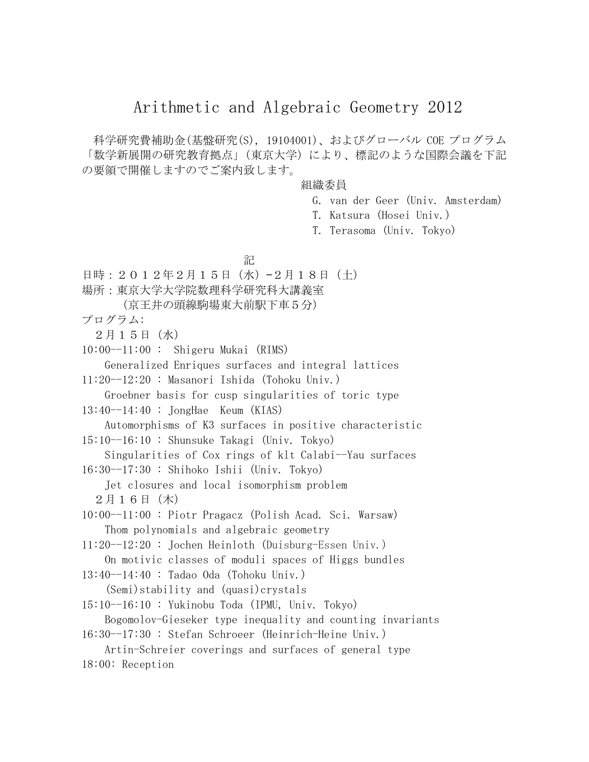## Arithmetic and Algebraic Geometry 2012

科学研究費補助金(基盤研究(S), 19104001)、およびグローバル COE プログラム 「数学新展開の研究教育拠点」(東京大学)により、標記のような国際会議を下記 の要領で開催しますのでご案内致します。

## 組織委員

- G. van der Geer (Univ. Amsterdam)
- T. Katsura (Hosei Univ.)

T. Terasoma (Univ. Tokyo)

アンディア アイディア しょうしょう 記

- 日時: 2012年2月15日 (水) -2月18日 (土)
- 場所:東京大学大学院数理科学研究科大講義室
	- (京王井の頭線駒場東大前駅下車5分)

プログラム:

2月15日(水)

- $10:00--11:00$ : Shigeru Mukai (RIMS) Generalized Enriques surfaces and integral lattices
- 11:20--12:20 : Masanori Ishida (Tohoku Univ.) Groebner basis for cusp singularities of toric type
- 13:40--14:40 : JongHae Keum (KIAS)

Automorphisms of K3 surfaces in positive characteristic

15:10--16:10 : Shunsuke Takagi (Univ. Tokyo)

Singularities of Cox rings of klt Calabi--Yau surfaces

16:30--17:30 : Shihoko Ishii (Univ. Tokyo)

Jet closures and local isomorphism problem 2月16日(木)

- 10:00--11:00 : Piotr Pragacz (Polish Acad. Sci. Warsaw) Thom polynomials and algebraic geometry
- 11:20--12:20 : Jochen Heinloth (Duisburg-Essen Univ.) On motivic classes of moduli spaces of Higgs bundles
- 13:40--14:40 : Tadao Oda (Tohoku Univ.) (Semi)stability and (quasi)crystals
- 15:10--16:10 : Yukinobu Toda (IPMU, Univ. Tokyo) Bogomolov-Gieseker type inequality and counting invariants
- 16:30--17:30 : Stefan Schroeer (Heinrich-Heine Univ.)
- Artin-Schreier coverings and surfaces of general type
- 18:00: Reception